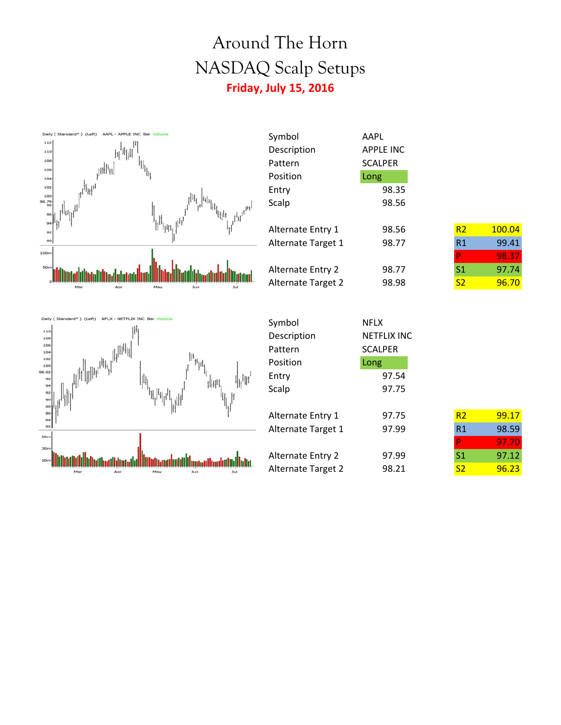## Around The Horn NASDAQ Scalp Setups **Friday, July 15, 2016**

Symbol AAPL Description APPLE INC



| Pattern                   | <b>SCALPER</b> |                |        |
|---------------------------|----------------|----------------|--------|
| Position                  | Long           |                |        |
| Entry                     | 98.35          |                |        |
| Scalp                     | 98.56          |                |        |
|                           |                |                |        |
| <b>Alternate Entry 1</b>  | 98.56          | R <sub>2</sub> | 100.04 |
| Alternate Target 1        | 98.77          | R1             | 99.41  |
|                           |                | P              | 98.37  |
| <b>Alternate Entry 2</b>  | 98.77          | S1             | 97.74  |
| <b>Alternate Target 2</b> | 98.98          | S <sub>2</sub> | 96.70  |
|                           |                |                |        |



| Symbol                   | <b>NFLX</b>        |                |       |
|--------------------------|--------------------|----------------|-------|
| Description              | <b>NETFLIX INC</b> |                |       |
| Pattern                  | <b>SCALPER</b>     |                |       |
| Position                 | Long               |                |       |
| Entry                    | 97.54              |                |       |
| Scalp                    | 97.75              |                |       |
|                          |                    |                |       |
| Alternate Entry 1        | 97.75              | R <sub>2</sub> | 99.17 |
| Alternate Target 1       | 97.99              | R <sub>1</sub> | 98.59 |
|                          |                    | P              | 97.70 |
| <b>Alternate Entry 2</b> | 97.99              | S <sub>1</sub> | 97.12 |
| Alternate Target 2       | 98.21              | S <sub>2</sub> | 96.23 |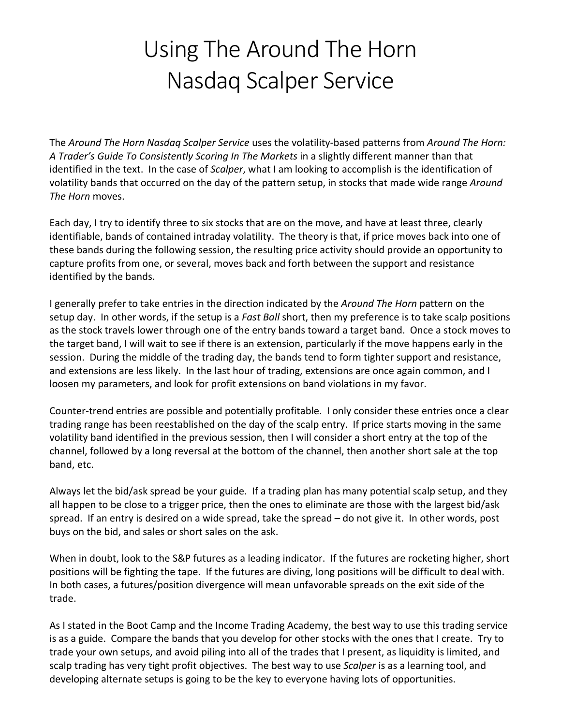## Using The Around The Horn Nasdaq Scalper Service

The *Around The Horn Nasdaq Scalper Service* uses the volatility-based patterns from *Around The Horn: A Trader's Guide To Consistently Scoring In The Markets* in a slightly different manner than that identified in the text. In the case of *Scalper*, what I am looking to accomplish is the identification of volatility bands that occurred on the day of the pattern setup, in stocks that made wide range *Around The Horn* moves.

Each day, I try to identify three to six stocks that are on the move, and have at least three, clearly identifiable, bands of contained intraday volatility. The theory is that, if price moves back into one of these bands during the following session, the resulting price activity should provide an opportunity to capture profits from one, or several, moves back and forth between the support and resistance identified by the bands.

I generally prefer to take entries in the direction indicated by the *Around The Horn* pattern on the setup day. In other words, if the setup is a *Fast Ball* short, then my preference is to take scalp positions as the stock travels lower through one of the entry bands toward a target band. Once a stock moves to the target band, I will wait to see if there is an extension, particularly if the move happens early in the session. During the middle of the trading day, the bands tend to form tighter support and resistance, and extensions are less likely. In the last hour of trading, extensions are once again common, and I loosen my parameters, and look for profit extensions on band violations in my favor.

Counter-trend entries are possible and potentially profitable. I only consider these entries once a clear trading range has been reestablished on the day of the scalp entry. If price starts moving in the same volatility band identified in the previous session, then I will consider a short entry at the top of the channel, followed by a long reversal at the bottom of the channel, then another short sale at the top band, etc.

Always let the bid/ask spread be your guide. If a trading plan has many potential scalp setup, and they all happen to be close to a trigger price, then the ones to eliminate are those with the largest bid/ask spread. If an entry is desired on a wide spread, take the spread – do not give it. In other words, post buys on the bid, and sales or short sales on the ask.

When in doubt, look to the S&P futures as a leading indicator. If the futures are rocketing higher, short positions will be fighting the tape. If the futures are diving, long positions will be difficult to deal with. In both cases, a futures/position divergence will mean unfavorable spreads on the exit side of the trade.

As I stated in the Boot Camp and the Income Trading Academy, the best way to use this trading service is as a guide. Compare the bands that you develop for other stocks with the ones that I create. Try to trade your own setups, and avoid piling into all of the trades that I present, as liquidity is limited, and scalp trading has very tight profit objectives. The best way to use *Scalper* is as a learning tool, and developing alternate setups is going to be the key to everyone having lots of opportunities.